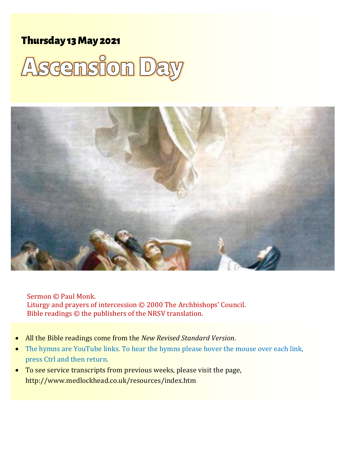## Thursday 13 May 2021





Sermon © Paul Monk. Liturgy and prayers of intercession © 2000 The Archbishops' Council. Bible readings © the publishers of the NRSV translation.

- All the Bible readings come from the *New Revised Standard Version*.
- The hymns are YouTube links. To hear the hymns please hover the mouse over each link, press Ctrl and then return.
- To see service transcripts from previous weeks, please visit the page, <http://www.medlockhead.co.uk/resources/index.htm>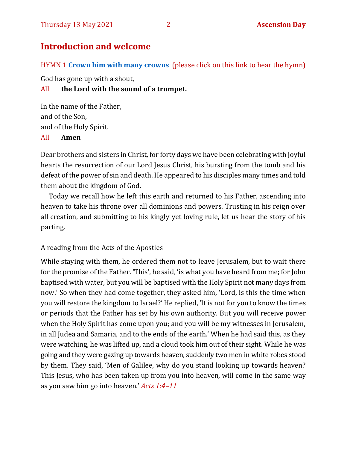## **Introduction and welcome**

HYMN 1 **[Crown him with many crowns](https://youtu.be/F8ti2-eoviU)** (please click on this link to hear the hymn)

God has gone up with a shout,

#### All **the Lord with the sound of a trumpet.**

In the name of the Father, and of the Son, and of the Holy Spirit. All **Amen**

Dear brothers and sisters in Christ, for forty days we have been celebrating with joyful hearts the resurrection of our Lord Jesus Christ, his bursting from the tomb and his defeat of the power of sin and death. He appeared to his disciples many times and told them about the kingdom of God.

Today we recall how he left this earth and returned to his Father, ascending into heaven to take his throne over all dominions and powers. Trusting in his reign over all creation, and submitting to his kingly yet loving rule, let us hear the story of his parting.

#### A reading from the Acts of the Apostles

While staying with them, he ordered them not to leave Jerusalem, but to wait there for the promise of the Father. 'This', he said, 'is what you have heard from me; for John baptised with water, but you will be baptised with the Holy Spirit not many days from now.' So when they had come together, they asked him, 'Lord, is this the time when you will restore the kingdom to Israel?' He replied, 'It is not for you to know the times or periods that the Father has set by his own authority. But you will receive power when the Holy Spirit has come upon you; and you will be my witnesses in Jerusalem, in all Judea and Samaria, and to the ends of the earth.' When he had said this, as they were watching, he was lifted up, and a cloud took him out of their sight. While he was going and they were gazing up towards heaven, suddenly two men in white robes stood by them. They said, 'Men of Galilee, why do you stand looking up towards heaven? This Jesus, who has been taken up from you into heaven, will come in the same way as you saw him go into heaven.' *Acts 1:4–11*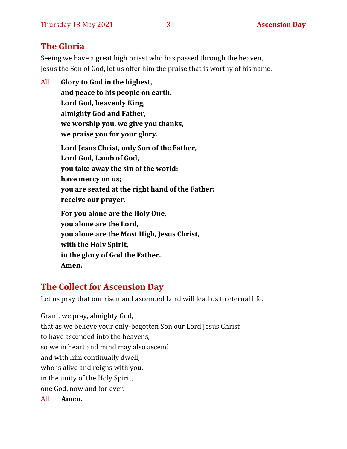## **The Gloria**

Seeing we have a great high priest who has passed through the heaven, Jesus the Son of God, let us offer him the praise that is worthy of his name.

All **Glory to God in the highest, and peace to his people on earth. Lord God, heavenly King, almighty God and Father, we worship you, we give you thanks, we praise you for your glory. Lord Jesus Christ, only Son of the Father, Lord God, Lamb of God, you take away the sin of the world: have mercy on us; you are seated at the right hand of the Father: receive our prayer. For you alone are the Holy One, you alone are the Lord, you alone are the Most High, Jesus Christ, with the Holy Spirit, in the glory of God the Father. Amen.**

## **The Collect for Ascension Day**

Let us pray that our risen and ascended Lord will lead us to eternal life.

Grant, we pray, almighty God, that as we believe your only-begotten Son our Lord Jesus Christ to have ascended into the heavens, so we in heart and mind may also ascend and with him continually dwell; who is alive and reigns with you, in the unity of the Holy Spirit, one God, now and for ever.

All **Amen.**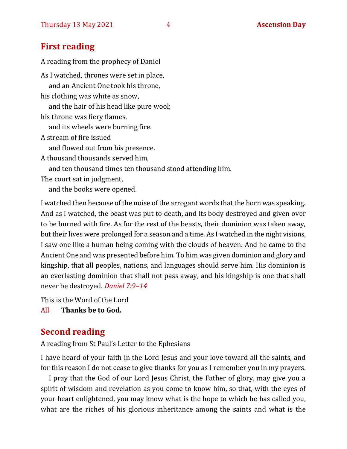#### **First reading**

A reading from the prophecy of Daniel As I watched, thrones were set in place, and an Ancient One took his throne, his clothing was white as snow, and the hair of his head like pure wool; his throne was fiery flames, and its wheels were burning fire. A stream of fire issued and flowed out from his presence. A thousand thousands served him, and ten thousand times ten thousand stood attending him. The court sat in judgment, and the books were opened.

I watched then because of the noise of the arrogant words that the horn was speaking. And as I watched, the beast was put to death, and its body destroyed and given over to be burned with fire. As for the rest of the beasts, their dominion was taken away, but their lives were prolonged for a season and a time. As I watched in the night visions, I saw one like a human being coming with the clouds of heaven. And he came to the Ancient One and was presented before him. To him was given dominion and glory and kingship, that all peoples, nations, and languages should serve him. His dominion is an everlasting dominion that shall not pass away, and his kingship is one that shall never be destroyed. *Daniel 7:9–14*

This is the Word of the Lord

All **Thanks be to God.**

## **Second reading**

A reading from St Paul's Letter to the Ephesians

I have heard of your faith in the Lord Jesus and your love toward all the saints, and for this reason I do not cease to give thanks for you as I remember you in my prayers.

I pray that the God of our Lord Jesus Christ, the Father of glory, may give you a spirit of wisdom and revelation as you come to know him, so that, with the eyes of your heart enlightened, you may know what is the hope to which he has called you, what are the riches of his glorious inheritance among the saints and what is the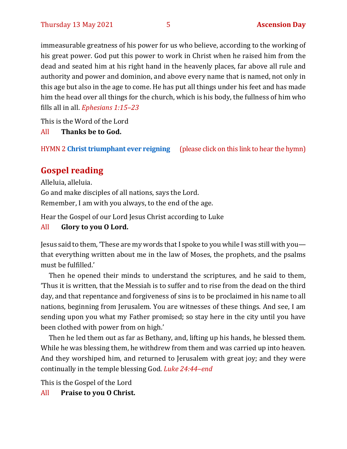immeasurable greatness of his power for us who believe, according to the working of his great power. God put this power to work in Christ when he raised him from the dead and seated him at his right hand in the heavenly places, far above all rule and authority and power and dominion, and above every name that is named, not only in this age but also in the age to come. He has put all things under his feet and has made him the head over all things for the church, which is his body, the fullness of him who fills all in all. *Ephesians 1:15–23*

This is the Word of the Lord

All **Thanks be to God.**

HYMN 2 **[Christ triumphant ever reigning](https://www.youtube.com/watch?v=G3zbp6BU1S0)** (please click on this link to hear the hymn)

## **Gospel reading**

Alleluia, alleluia. Go and make disciples of all nations, says the Lord. Remember, I am with you always, to the end of the age.

Hear the Gospel of our Lord Jesus Christ according to Luke

#### All **Glory to you O Lord.**

Jesus said to them, 'These are my words that I spoke to you while I was still with you that everything written about me in the law of Moses, the prophets, and the psalms must be fulfilled.'

Then he opened their minds to understand the scriptures, and he said to them, 'Thus it is written, that the Messiah is to suffer and to rise from the dead on the third day, and that repentance and forgiveness of sins is to be proclaimed in his name to all nations, beginning from Jerusalem. You are witnesses of these things. And see, I am sending upon you what my Father promised; so stay here in the city until you have been clothed with power from on high.'

Then he led them out as far as Bethany, and, lifting up his hands, he blessed them. While he was blessing them, he withdrew from them and was carried up into heaven. And they worshiped him, and returned to Jerusalem with great joy; and they were continually in the temple blessing God. *Luke 24:44–end*

This is the Gospel of the Lord

All **Praise to you O Christ.**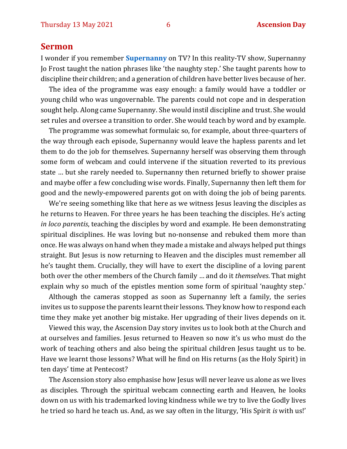#### **Sermon**

I wonder if you remember **[Supernanny](https://en.wikipedia.org/wiki/Supernanny)** on TV? In this reality-TV show, Supernanny Jo Frost taught the nation phrases like 'the naughty step.' She taught parents how to discipline their children; and a generation of children have better lives because of her.

The idea of the programme was easy enough: a family would have a toddler or young child who was ungovernable. The parents could not cope and in desperation sought help. Along came Supernanny. She would instil discipline and trust. She would set rules and oversee a transition to order. She would teach by word and by example.

The programme was somewhat formulaic so, for example, about three-quarters of the way through each episode, Supernanny would leave the hapless parents and let them to do the job for themselves. Supernanny herself was observing them through some form of webcam and could intervene if the situation reverted to its previous state … but she rarely needed to. Supernanny then returned briefly to shower praise and maybe offer a few concluding wise words. Finally, Supernanny then left them for good and the newly-empowered parents got on with doing the job of being parents.

We're seeing something like that here as we witness Jesus leaving the disciples as he returns to Heaven. For three years he has been teaching the disciples. He's acting *in loco parentis*, teaching the disciples by word and example. He been demonstrating spiritual disciplines. He was loving but no-nonsense and rebuked them more than once. He was always on hand when they made a mistake and always helped put things straight. But Jesus is now returning to Heaven and the disciples must remember all he's taught them. Crucially, they will have to exert the discipline of a loving parent both over the other members of the Church family … and do it *themselves*. That might explain why so much of the epistles mention some form of spiritual 'naughty step.'

Although the cameras stopped as soon as Supernanny left a family, the series invites us to suppose the parents learnt their lessons. They know how to respond each time they make yet another big mistake. Her upgrading of their lives depends on it.

Viewed this way, the Ascension Day story invites us to look both at the Church and at ourselves and families. Jesus returned to Heaven so now it's us who must do the work of teaching others and also being the spiritual children Jesus taught us to be. Have we learnt those lessons? What will he find on His returns (as the Holy Spirit) in ten days' time at Pentecost?

The Ascension story also emphasise how Jesus will never leave us alone as we lives as disciples. Through the spiritual webcam connecting earth and Heaven, he looks down on us with his trademarked loving kindness while we try to live the Godly lives he tried so hard he teach us. And, as we say often in the liturgy, 'His Spirit *is* with us!'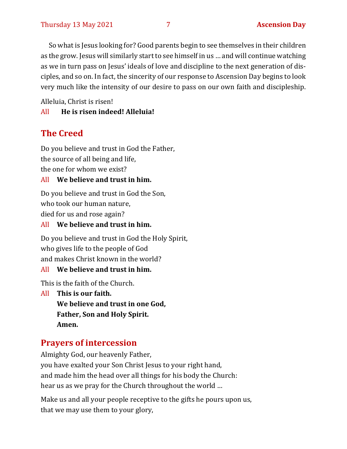So what is Jesus looking for? Good parents begin to see themselves in their children as the grow. Jesus will similarly start to see himself in us … and will continue watching as we in turn pass on Jesus' ideals of love and discipline to the next generation of disciples, and so on. In fact, the sincerity of our response to Ascension Day begins to look very much like the intensity of our desire to pass on our own faith and discipleship.

Alleluia, Christ is risen!

#### All **He is risen indeed! Alleluia!**

## **The Creed**

Do you believe and trust in God the Father, the source of all being and life, the one for whom we exist?

#### All **We believe and trust in him.**

Do you believe and trust in God the Son, who took our human nature,

died for us and rose again?

All **We believe and trust in him.**

Do you believe and trust in God the Holy Spirit, who gives life to the people of God and makes Christ known in the world?

#### All **We believe and trust in him.**

This is the faith of the Church.

All **This is our faith. We believe and trust in one God, Father, Son and Holy Spirit. Amen.**

## **Prayers of intercession**

Almighty God, our heavenly Father, you have exalted your Son Christ Jesus to your right hand, and made him the head over all things for his body the Church: hear us as we pray for the Church throughout the world …

Make us and all your people receptive to the gifts he pours upon us, that we may use them to your glory,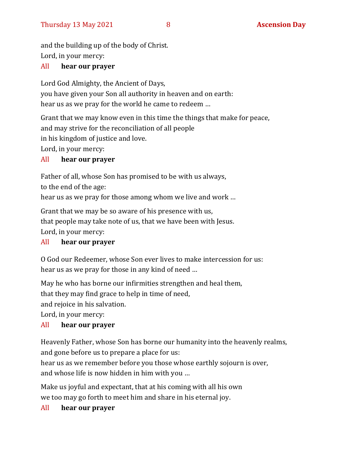and the building up of the body of Christ. Lord, in your mercy:

#### All **hear our prayer**

Lord God Almighty, the Ancient of Days, you have given your Son all authority in heaven and on earth: hear us as we pray for the world he came to redeem …

Grant that we may know even in this time the things that make for peace, and may strive for the reconciliation of all people

in his kingdom of justice and love.

Lord, in your mercy:

#### All **hear our prayer**

Father of all, whose Son has promised to be with us always,

to the end of the age:

hear us as we pray for those among whom we live and work …

Grant that we may be so aware of his presence with us, that people may take note of us, that we have been with Jesus. Lord, in your mercy:

#### All **hear our prayer**

O God our Redeemer, whose Son ever lives to make intercession for us: hear us as we pray for those in any kind of need …

May he who has borne our infirmities strengthen and heal them,

that they may find grace to help in time of need,

and rejoice in his salvation.

Lord, in your mercy:

#### All **hear our prayer**

Heavenly Father, whose Son has borne our humanity into the heavenly realms, and gone before us to prepare a place for us:

hear us as we remember before you those whose earthly sojourn is over, and whose life is now hidden in him with you …

Make us joyful and expectant, that at his coming with all his own we too may go forth to meet him and share in his eternal joy.

#### All **hear our prayer**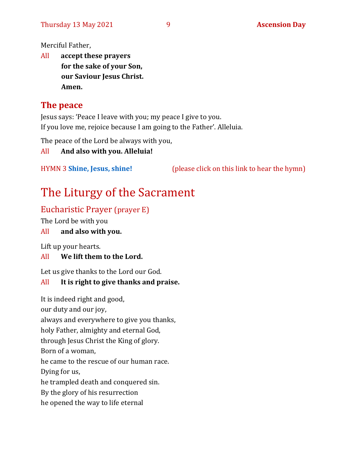Merciful Father,

All **accept these prayers for the sake of your Son, our Saviour Jesus Christ. Amen.**

## **The peace**

Jesus says: 'Peace I leave with you; my peace I give to you. If you love me, rejoice because I am going to the Father'. Alleluia.

The peace of the Lord be always with you,

All **And also with you. Alleluia!**

HYMN 3 **[Shine, Jesus, shine!](https://youtu.be/7OIwSQmyCg4)** (please click on this link to hear the hymn)

## The Liturgy of the Sacrament

## Eucharistic Prayer (prayer E)

The Lord be with you

#### All **and also with you.**

Lift up your hearts.

#### All **We lift them to the Lord.**

Let us give thanks to the Lord our God.

#### All **It is right to give thanks and praise.**

It is indeed right and good, our duty and our joy,

always and everywhere to give you thanks,

holy Father, almighty and eternal God,

through Jesus Christ the King of glory.

Born of a woman,

he came to the rescue of our human race.

Dying for us,

he trampled death and conquered sin.

By the glory of his resurrection

he opened the way to life eternal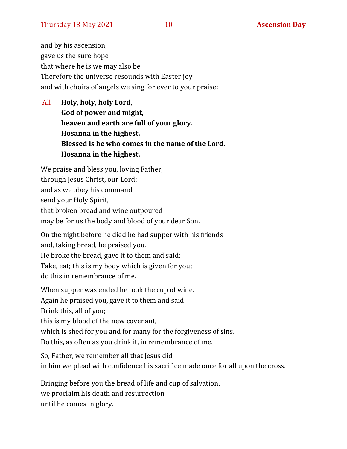and by his ascension, gave us the sure hope that where he is we may also be. Therefore the universe resounds with Easter joy and with choirs of angels we sing for ever to your praise:

All **Holy, holy, holy Lord, God of power and might, heaven and earth are full of your glory. Hosanna in the highest. Blessed is he who comes in the name of the Lord. Hosanna in the highest.**

We praise and bless you, loving Father, through Jesus Christ, our Lord; and as we obey his command, send your Holy Spirit, that broken bread and wine outpoured may be for us the body and blood of your dear Son.

On the night before he died he had supper with his friends and, taking bread, he praised you. He broke the bread, gave it to them and said: Take, eat; this is my body which is given for you; do this in remembrance of me.

When supper was ended he took the cup of wine. Again he praised you, gave it to them and said: Drink this, all of you; this is my blood of the new covenant, which is shed for you and for many for the forgiveness of sins. Do this, as often as you drink it, in remembrance of me.

So, Father, we remember all that Jesus did, in him we plead with confidence his sacrifice made once for all upon the cross.

Bringing before you the bread of life and cup of salvation, we proclaim his death and resurrection until he comes in glory.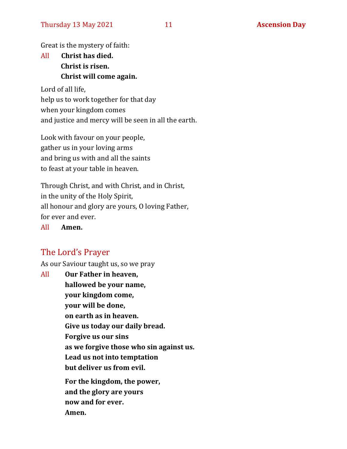Great is the mystery of faith:

## All **Christ has died. Christ is risen. Christ will come again.**

Lord of all life, help us to work together for that day when your kingdom comes and justice and mercy will be seen in all the earth.

Look with favour on your people, gather us in your loving arms and bring us with and all the saints to feast at your table in heaven.

Through Christ, and with Christ, and in Christ, in the unity of the Holy Spirit, all honour and glory are yours, O loving Father, for ever and ever.

All **Amen.**

#### The Lord's Prayer

As our Saviour taught us, so we pray

All **Our Father in heaven, hallowed be your name, your kingdom come, your will be done, on earth as in heaven. Give us today our daily bread. Forgive us our sins as we forgive those who sin against us. Lead us not into temptation but deliver us from evil. For the kingdom, the power, and the glory are yours now and for ever. Amen.**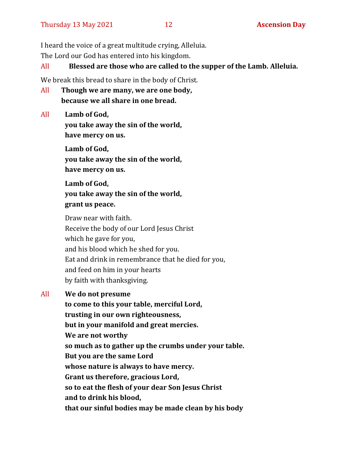I heard the voice of a great multitude crying, Alleluia.

The Lord our God has entered into his kingdom.

All **Blessed are those who are called to the supper of the Lamb. Alleluia.**

We break this bread to share in the body of Christ.

All **Though we are many, we are one body, because we all share in one bread.**

All **Lamb of God,**

**you take away the sin of the world, have mercy on us.**

**Lamb of God, you take away the sin of the world, have mercy on us.**

**Lamb of God, you take away the sin of the world, grant us peace.**

Draw near with faith. Receive the body of our Lord Jesus Christ which he gave for you, and his blood which he shed for you. Eat and drink in remembrance that he died for you, and feed on him in your hearts by faith with thanksgiving.

All **We do not presume**

**to come to this your table, merciful Lord, trusting in our own righteousness, but in your manifold and great mercies. We are not worthy so much as to gather up the crumbs under your table. But you are the same Lord whose nature is always to have mercy. Grant us therefore, gracious Lord, so to eat the flesh of your dear Son Jesus Christ and to drink his blood, that our sinful bodies may be made clean by his body**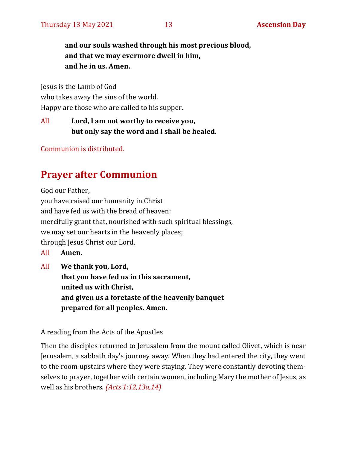**and our souls washed through his most precious blood, and that we may evermore dwell in him, and he in us. Amen.**

Jesus is the Lamb of God who takes away the sins of the world. Happy are those who are called to his supper.

All **Lord, I am not worthy to receive you, but only say the word and I shall be healed.**

Communion is distributed.

## **Prayer after Communion**

God our Father,

you have raised our humanity in Christ and have fed us with the bread of heaven: mercifully grant that, nourished with such spiritual blessings, we may set our hearts in the heavenly places; through Jesus Christ our Lord.

- All **Amen.**
- All **We thank you, Lord, that you have fed us in this sacrament, united us with Christ, and given us a foretaste of the heavenly banquet prepared for all peoples. Amen.**

#### A reading from the Acts of the Apostles

Then the disciples returned to Jerusalem from the mount called Olivet, which is near Jerusalem, a sabbath day's journey away. When they had entered the city, they went to the room upstairs where they were staying. They were constantly devoting themselves to prayer, together with certain women, including Mary the mother of Jesus, as well as his brothers. *(Acts 1:12,13a,14)*